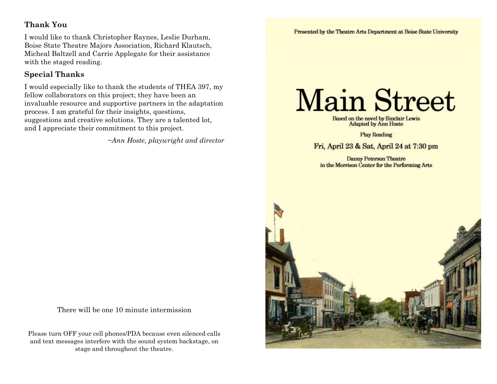## **Thank You**

I would like to thank Christopher Raynes, Leslie Durham, Boise State Theatre Majors Association, Richard Klautsch, Micheal Baltzell and Carrie Applegate for their assistance with the staged reading.

## **Special Thanks**

I would especially like to thank the students of THEA 397, my fellow collaborators on this project; they have been an invaluable resource and supportive partners in the adaptation process. I am grateful for their insights, questions, suggestions and creative solutions. They are a talented lot, and I appreciate their commitment to this project.

*~Ann Hoste, playwright and director*

There will be one 10 minute intermission

Please turn OFF your cell phones/PDA because even silenced calls and text messages interfere with the sound system backstage, on stage and throughout the theatre.

# **Main Street**

Based on the novel by Sinclair Lewis<br>Adapted by Ann Hoste

**Play Reading** 

Fri, April 23 & Sat, April 24 at 7:30 pm

**Danny Peterson Theatre** in the Morrison Center for the Performing Arts